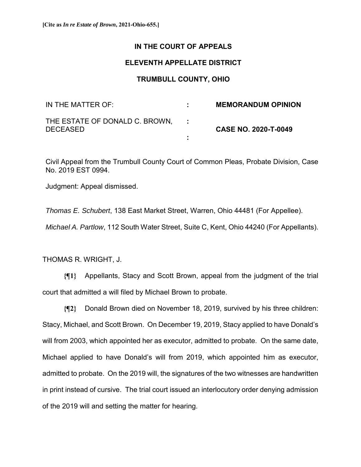## **IN THE COURT OF APPEALS**

## **ELEVENTH APPELLATE DISTRICT**

## **TRUMBULL COUNTY, OHIO**

| IN THE MATTER OF:                                 | <b>MEMORANDUM OPINION</b>   |
|---------------------------------------------------|-----------------------------|
| THE ESTATE OF DONALD C. BROWN,<br><b>DECEASED</b> | <b>CASE NO. 2020-T-0049</b> |
|                                                   |                             |

Civil Appeal from the Trumbull County Court of Common Pleas, Probate Division, Case No. 2019 EST 0994.

Judgment: Appeal dismissed.

*Thomas E. Schubert*, 138 East Market Street, Warren, Ohio 44481 (For Appellee).

*Michael A. Partlow*, 112 South Water Street, Suite C, Kent, Ohio 44240 (For Appellants).

THOMAS R. WRIGHT, J.

**{¶1}** Appellants, Stacy and Scott Brown, appeal from the judgment of the trial court that admitted a will filed by Michael Brown to probate.

**{¶2}** Donald Brown died on November 18, 2019, survived by his three children: Stacy, Michael, and Scott Brown. On December 19, 2019, Stacy applied to have Donald's will from 2003, which appointed her as executor, admitted to probate. On the same date, Michael applied to have Donald's will from 2019, which appointed him as executor, admitted to probate. On the 2019 will, the signatures of the two witnesses are handwritten in print instead of cursive. The trial court issued an interlocutory order denying admission of the 2019 will and setting the matter for hearing.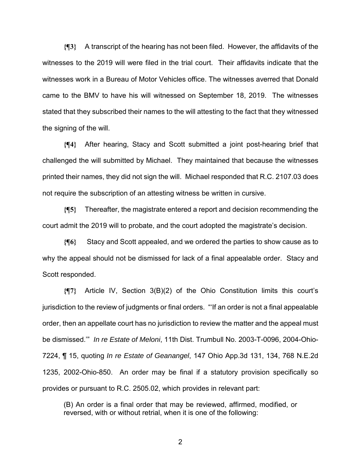**{¶3}** A transcript of the hearing has not been filed. However, the affidavits of the witnesses to the 2019 will were filed in the trial court. Their affidavits indicate that the witnesses work in a Bureau of Motor Vehicles office. The witnesses averred that Donald came to the BMV to have his will witnessed on September 18, 2019. The witnesses stated that they subscribed their names to the will attesting to the fact that they witnessed the signing of the will.

**{¶4}** After hearing, Stacy and Scott submitted a joint post-hearing brief that challenged the will submitted by Michael. They maintained that because the witnesses printed their names, they did not sign the will. Michael responded that R.C. 2107.03 does not require the subscription of an attesting witness be written in cursive.

**{¶5}** Thereafter, the magistrate entered a report and decision recommending the court admit the 2019 will to probate, and the court adopted the magistrate's decision.

**{¶6}** Stacy and Scott appealed, and we ordered the parties to show cause as to why the appeal should not be dismissed for lack of a final appealable order. Stacy and Scott responded.

**{¶7}** Article IV, Section 3(B)(2) of the Ohio Constitution limits this court's jurisdiction to the review of judgments or final orders. "'If an order is not a final appealable order, then an appellate court has no jurisdiction to review the matter and the appeal must be dismissed.'" *In re Estate of Meloni*, 11th Dist. Trumbull No. 2003-T-0096, 2004-Ohio-7224, ¶ 15, quoting *In re Estate of Geanangel*, 147 Ohio App.3d 131, 134, 768 N.E.2d 1235, 2002-Ohio-850. An order may be final if a statutory provision specifically so provides or pursuant to R.C. 2505.02, which provides in relevant part:

(B) An order is a final order that may be reviewed, affirmed, modified, or reversed, with or without retrial, when it is one of the following:

2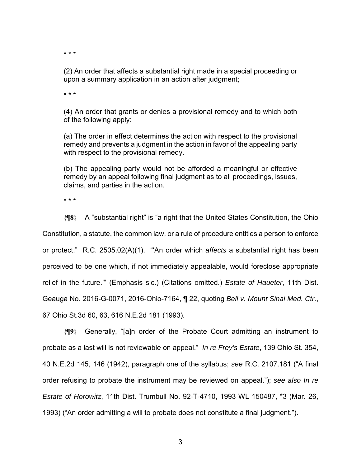\* \* \*

(2) An order that affects a substantial right made in a special proceeding or upon a summary application in an action after judgment;

\* \* \*

(4) An order that grants or denies a provisional remedy and to which both of the following apply:

(a) The order in effect determines the action with respect to the provisional remedy and prevents a judgment in the action in favor of the appealing party with respect to the provisional remedy.

(b) The appealing party would not be afforded a meaningful or effective remedy by an appeal following final judgment as to all proceedings, issues, claims, and parties in the action.

\* \* \*

**{¶8}** A "substantial right" is "a right that the United States Constitution, the Ohio Constitution, a statute, the common law, or a rule of procedure entitles a person to enforce or protect." R.C. 2505.02(A)(1). "'An order which *affects* a substantial right has been perceived to be one which, if not immediately appealable, would foreclose appropriate relief in the future.'" (Emphasis sic.) (Citations omitted.) *Estate of Haueter*, 11th Dist. Geauga No. 2016-G-0071, 2016-Ohio-7164, ¶ 22, quoting *Bell v. Mount Sinai Med. Ctr*., 67 Ohio St.3d 60, 63, 616 N.E.2d 181 (1993).

**{¶9}** Generally, "[a]n order of the Probate Court admitting an instrument to probate as a last will is not reviewable on appeal." *In re Frey's Estate*, 139 Ohio St. 354, 40 N.E.2d 145, 146 (1942), paragraph one of the syllabus; *see* R.C. 2107.181 ("A final order refusing to probate the instrument may be reviewed on appeal."); *see also In re Estate of Horowitz*, 11th Dist. Trumbull No. 92-T-4710, 1993 WL 150487, \*3 (Mar. 26, 1993) ("An order admitting a will to probate does not constitute a final judgment.").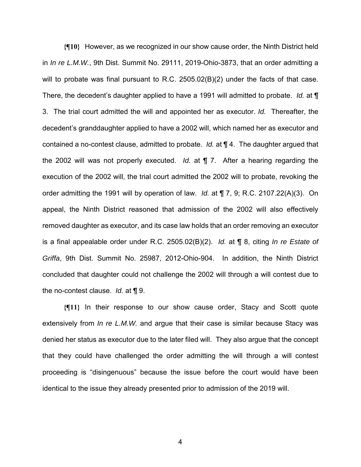**{¶10}** However, as we recognized in our show cause order, the Ninth District held in *In re L.M.W.*, 9th Dist. Summit No. 29111, 2019-Ohio-3873, that an order admitting a will to probate was final pursuant to R.C. 2505.02(B)(2) under the facts of that case. There, the decedent's daughter applied to have a 1991 will admitted to probate. *Id.* at ¶ 3. The trial court admitted the will and appointed her as executor. *Id.* Thereafter, the decedent's granddaughter applied to have a 2002 will, which named her as executor and contained a no-contest clause, admitted to probate. *Id.* at ¶ 4. The daughter argued that the 2002 will was not properly executed. *Id.* at ¶ 7. After a hearing regarding the execution of the 2002 will, the trial court admitted the 2002 will to probate, revoking the order admitting the 1991 will by operation of law. *Id.* at ¶ 7, 9; R.C. 2107.22(A)(3). On appeal, the Ninth District reasoned that admission of the 2002 will also effectively removed daughter as executor, and its case law holds that an order removing an executor is a final appealable order under R.C. 2505.02(B)(2). *Id.* at ¶ 8, citing *In re Estate of Griffa*, 9th Dist. Summit No. 25987, 2012-Ohio-904. In addition, the Ninth District concluded that daughter could not challenge the 2002 will through a will contest due to the no-contest clause. *Id.* at ¶ 9.

**{¶11}** In their response to our show cause order, Stacy and Scott quote extensively from *In re L.M.W.* and argue that their case is similar because Stacy was denied her status as executor due to the later filed will. They also argue that the concept that they could have challenged the order admitting the will through a will contest proceeding is "disingenuous" because the issue before the court would have been identical to the issue they already presented prior to admission of the 2019 will.

4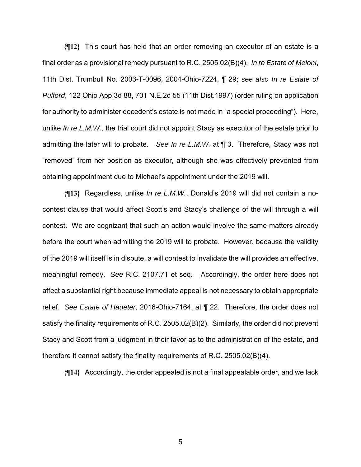**{¶12}** This court has held that an order removing an executor of an estate is a final order as a provisional remedy pursuant to R.C. 2505.02(B)(4). *In re Estate of Meloni*, 11th Dist. Trumbull No. 2003-T-0096, 2004-Ohio-7224, ¶ 29; *see also In re Estate of Pulford*, 122 Ohio App.3d 88, 701 N.E.2d 55 (11th Dist.1997) (order ruling on application for authority to administer decedent's estate is not made in "a special proceeding"). Here, unlike *In re L.M.W.*, the trial court did not appoint Stacy as executor of the estate prior to admitting the later will to probate. *See In re L.M.W.* at ¶ 3. Therefore, Stacy was not "removed" from her position as executor, although she was effectively prevented from obtaining appointment due to Michael's appointment under the 2019 will.

**{¶13}** Regardless, unlike *In re L.M.W.*, Donald's 2019 will did not contain a nocontest clause that would affect Scott's and Stacy's challenge of the will through a will contest. We are cognizant that such an action would involve the same matters already before the court when admitting the 2019 will to probate. However, because the validity of the 2019 will itself is in dispute, a will contest to invalidate the will provides an effective, meaningful remedy. *See* R.C. 2107.71 et seq. Accordingly, the order here does not affect a substantial right because immediate appeal is not necessary to obtain appropriate relief. *See Estate of Haueter*, 2016-Ohio-7164, at ¶ 22. Therefore, the order does not satisfy the finality requirements of R.C. 2505.02(B)(2). Similarly, the order did not prevent Stacy and Scott from a judgment in their favor as to the administration of the estate, and therefore it cannot satisfy the finality requirements of R.C. 2505.02(B)(4).

**{¶14}** Accordingly, the order appealed is not a final appealable order, and we lack

 $5<sup>th</sup>$